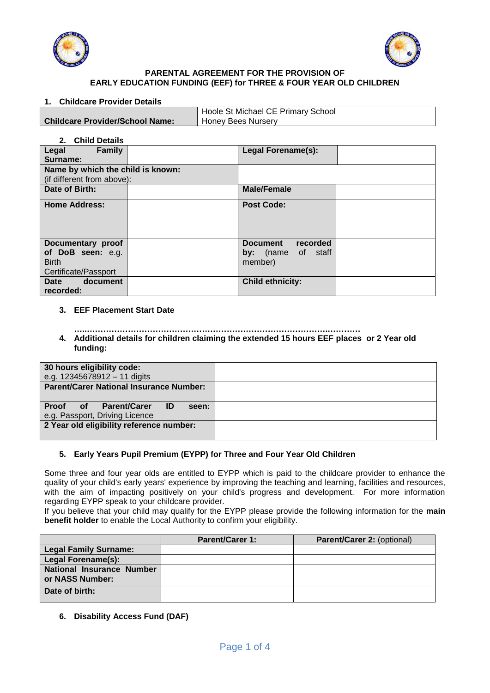



# **PARENTAL AGREEMENT FOR THE PROVISION OF EARLY EDUCATION FUNDING (EEF) for THREE & FOUR YEAR OLD CHILDREN**

#### **1. Childcare Provider Details**

|                                        | Hoole St Michael CE Primary School |
|----------------------------------------|------------------------------------|
| <b>Childcare Provider/School Name:</b> | Honey Bees Nursery                 |

**2. Child Details**

| Family<br>Legal<br>Surname:          | <b>Legal Forename(s):</b>   |  |
|--------------------------------------|-----------------------------|--|
| Name by which the child is known:    |                             |  |
| (if different from above):           |                             |  |
| Date of Birth:                       | <b>Male/Female</b>          |  |
| <b>Home Address:</b>                 | <b>Post Code:</b>           |  |
| Documentary proof                    | <b>Document</b><br>recorded |  |
| of DoB seen: e.g.                    | (name of staff<br>by:       |  |
| <b>Birth</b>                         | member)                     |  |
| Certificate/Passport                 |                             |  |
| document<br><b>Date</b><br>recorded: | <b>Child ethnicity:</b>     |  |

# **3. EEF Placement Start Date**

**…..…………………………………………………………………………….………… 4. Additional details for children claiming the extended 15 hours EEF places or 2 Year old funding:**

|                                          |    | 30 hours eligibility code:<br>e.g. $12345678912 - 11$ digits |    |       |  |
|------------------------------------------|----|--------------------------------------------------------------|----|-------|--|
|                                          |    | <b>Parent/Carer National Insurance Number:</b>               |    |       |  |
| <b>Proof</b>                             | of | <b>Parent/Carer</b><br>e.g. Passport, Driving Licence        | ID | seen: |  |
| 2 Year old eligibility reference number: |    |                                                              |    |       |  |

## **5. Early Years Pupil Premium (EYPP) for Three and Four Year Old Children**

Some three and four year olds are entitled to EYPP which is paid to the childcare provider to enhance the quality of your child's early years' experience by improving the teaching and learning, facilities and resources, with the aim of impacting positively on your child's progress and development. For more information regarding EYPP speak to your childcare provider.

If you believe that your child may qualify for the EYPP please provide the following information for the **main benefit holder** to enable the Local Authority to confirm your eligibility.

|                                                     | <b>Parent/Carer 1:</b> | Parent/Carer 2: (optional) |
|-----------------------------------------------------|------------------------|----------------------------|
| <b>Legal Family Surname:</b>                        |                        |                            |
| Legal Forename(s):                                  |                        |                            |
| <b>National Insurance Number</b><br>or NASS Number: |                        |                            |
| Date of birth:                                      |                        |                            |

**6. Disability Access Fund (DAF)**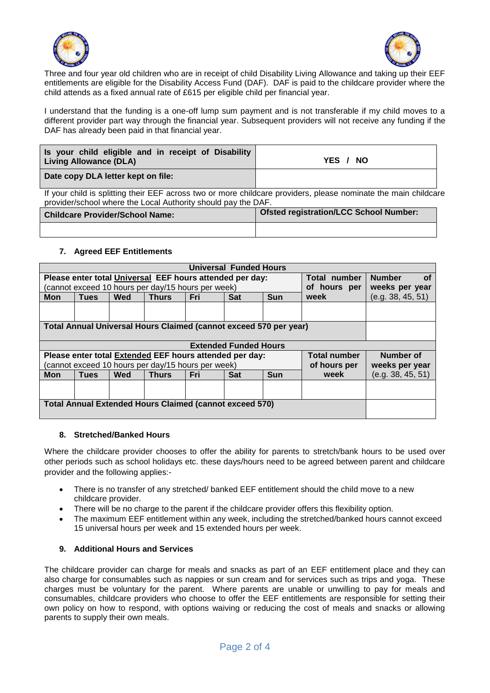



Three and four year old children who are in receipt of child Disability Living Allowance and taking up their EEF entitlements are eligible for the Disability Access Fund (DAF). DAF is paid to the childcare provider where the child attends as a fixed annual rate of £615 per eligible child per financial year.

I understand that the funding is a one-off lump sum payment and is not transferable if my child moves to a different provider part way through the financial year. Subsequent providers will not receive any funding if the DAF has already been paid in that financial year.

| Is your child eligible and in receipt of Disability<br><b>Living Allowance (DLA)</b> | YES / NO |
|--------------------------------------------------------------------------------------|----------|
| Date copy DLA letter kept on file:                                                   |          |

If your child is splitting their EEF across two or more childcare providers, please nominate the main childcare provider/school where the Local Authority should pay the DAF.

| <b>Childcare Provider/School Name:</b> | Ofsted registration/LCC School Number: |
|----------------------------------------|----------------------------------------|
|                                        |                                        |

# **7. Agreed EEF Entitlements**

| <b>Universal Funded Hours</b>                                            |             |                                                        |                                                                   |            |              |                     |                     |                   |
|--------------------------------------------------------------------------|-------------|--------------------------------------------------------|-------------------------------------------------------------------|------------|--------------|---------------------|---------------------|-------------------|
| Please enter total Universal EEF hours attended per day:<br>Total number |             |                                                        |                                                                   |            |              | <b>Number</b><br>οf |                     |                   |
| (cannot exceed 10 hours per day/15 hours per week)                       |             |                                                        |                                                                   |            | of hours per | weeks per year      |                     |                   |
| <b>Mon</b>                                                               | <b>Tues</b> | Wed<br>Fri<br><b>Thurs</b><br><b>Sat</b><br><b>Sun</b> |                                                                   |            |              | week                | (e.g. 38, 45, 51)   |                   |
|                                                                          |             |                                                        |                                                                   |            |              |                     |                     |                   |
|                                                                          |             |                                                        |                                                                   |            |              |                     |                     |                   |
|                                                                          |             |                                                        | Total Annual Universal Hours Claimed (cannot exceed 570 per year) |            |              |                     |                     |                   |
|                                                                          |             |                                                        |                                                                   |            |              |                     |                     |                   |
| <b>Extended Funded Hours</b>                                             |             |                                                        |                                                                   |            |              |                     |                     |                   |
|                                                                          |             |                                                        |                                                                   |            |              |                     |                     |                   |
|                                                                          |             |                                                        | Please enter total Extended EEF hours attended per day:           |            |              |                     | <b>Total number</b> | Number of         |
|                                                                          |             |                                                        | (cannot exceed 10 hours per day/15 hours per week)                |            |              |                     | of hours per        | weeks per year    |
| Mon                                                                      | <b>Tues</b> | Wed                                                    | <b>Thurs</b>                                                      | <b>Fri</b> | <b>Sat</b>   | <b>Sun</b>          | week                | (e.g. 38, 45, 51) |
|                                                                          |             |                                                        |                                                                   |            |              |                     |                     |                   |
|                                                                          |             |                                                        |                                                                   |            |              |                     |                     |                   |
|                                                                          |             |                                                        | <b>Total Annual Extended Hours Claimed (cannot exceed 570)</b>    |            |              |                     |                     |                   |

## **8. Stretched/Banked Hours**

Where the childcare provider chooses to offer the ability for parents to stretch/bank hours to be used over other periods such as school holidays etc. these days/hours need to be agreed between parent and childcare provider and the following applies:-

- There is no transfer of any stretched/ banked EEF entitlement should the child move to a new childcare provider.
- There will be no charge to the parent if the childcare provider offers this flexibility option.
- The maximum EEF entitlement within any week, including the stretched/banked hours cannot exceed 15 universal hours per week and 15 extended hours per week.

## **9. Additional Hours and Services**

The childcare provider can charge for meals and snacks as part of an EEF entitlement place and they can also charge for consumables such as nappies or sun cream and for services such as trips and yoga. These charges must be voluntary for the parent. Where parents are unable or unwilling to pay for meals and consumables, childcare providers who choose to offer the EEF entitlements are responsible for setting their own policy on how to respond, with options waiving or reducing the cost of meals and snacks or allowing parents to supply their own meals.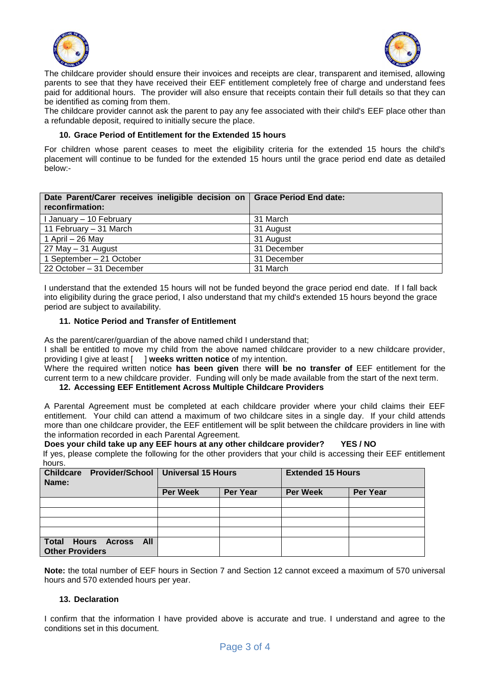



The childcare provider should ensure their invoices and receipts are clear, transparent and itemised, allowing parents to see that they have received their EEF entitlement completely free of charge and understand fees paid for additional hours. The provider will also ensure that receipts contain their full details so that they can be identified as coming from them.

The childcare provider cannot ask the parent to pay any fee associated with their child's EEF place other than a refundable deposit, required to initially secure the place.

#### **10. Grace Period of Entitlement for the Extended 15 hours**

For children whose parent ceases to meet the eligibility criteria for the extended 15 hours the child's placement will continue to be funded for the extended 15 hours until the grace period end date as detailed below:-

| Date Parent/Carer receives ineligible decision on   Grace Period End date:<br>reconfirmation: |             |
|-----------------------------------------------------------------------------------------------|-------------|
| I January - 10 February                                                                       | 31 March    |
| 11 February - 31 March                                                                        | 31 August   |
| 1 April – 26 May                                                                              | 31 August   |
| 27 May - 31 August                                                                            | 31 December |
| 1 September - 21 October                                                                      | 31 December |
| 22 October – 31 December                                                                      | 31 March    |

I understand that the extended 15 hours will not be funded beyond the grace period end date. If I fall back into eligibility during the grace period, I also understand that my child's extended 15 hours beyond the grace period are subject to availability.

#### **11. Notice Period and Transfer of Entitlement**

As the parent/carer/guardian of the above named child I understand that;

I shall be entitled to move my child from the above named childcare provider to a new childcare provider, providing I give at least [ ] **weeks written notice** of my intention.

Where the required written notice **has been given** there **will be no transfer of** EEF entitlement for the current term to a new childcare provider. Funding will only be made available from the start of the next term. **12. Accessing EEF Entitlement Across Multiple Childcare Providers**

A Parental Agreement must be completed at each childcare provider where your child claims their EEF entitlement. Your child can attend a maximum of two childcare sites in a single day. If your child attends more than one childcare provider, the EEF entitlement will be split between the childcare providers in line with the information recorded in each Parental Agreement.

**Does your child take up any EEF hours at any other childcare provider? YES / NO**

If yes, please complete the following for the other providers that your child is accessing their EEF entitlement hours.

| <b>Childcare</b><br>Name:                              |                   | Provider/School   Universal 15 Hours |          | <b>Extended 15 Hours</b> |                 |
|--------------------------------------------------------|-------------------|--------------------------------------|----------|--------------------------|-----------------|
|                                                        |                   | <b>Per Week</b>                      | Per Year | <b>Per Week</b>          | <b>Per Year</b> |
|                                                        |                   |                                      |          |                          |                 |
|                                                        |                   |                                      |          |                          |                 |
|                                                        |                   |                                      |          |                          |                 |
|                                                        |                   |                                      |          |                          |                 |
| <b>Total</b><br><b>Hours</b><br><b>Other Providers</b> | <b>Across All</b> |                                      |          |                          |                 |

**Note:** the total number of EEF hours in Section 7 and Section 12 cannot exceed a maximum of 570 universal hours and 570 extended hours per year.

#### **13. Declaration**

I confirm that the information I have provided above is accurate and true. I understand and agree to the conditions set in this document.